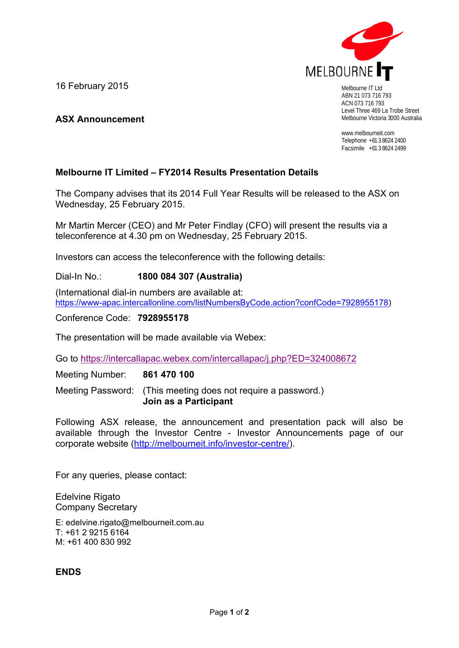

ABN 21 073 716 793 ACN 073 716 793 Level Three 469 La Trobe Street Melbourne Victoria 3000 Australia

www.melbourneit.com Telephone +61 3 8624 2400 Facsimile +61 3 8624 2499

## **Melbourne IT Limited – FY2014 Results Presentation Details**

The Company advises that its 2014 Full Year Results will be released to the ASX on Wednesday, 25 February 2015.

Mr Martin Mercer (CEO) and Mr Peter Findlay (CFO) will present the results via a teleconference at 4.30 pm on Wednesday, 25 February 2015.

Investors can access the teleconference with the following details:

Dial-In No.: **1800 084 307 (Australia)**

(International dial-in numbers are available at: https://www-apac.intercallonline.com/listNumbersByCode.action?confCode=7928955178)

Conference Code: **7928955178**

16 February 2015

**ASX Announcement** 

The presentation will be made available via Webex:

Go to https://intercallapac.webex.com/intercallapac/j.php?ED=324008672

Meeting Number: **861 470 100**

Meeting Password: (This meeting does not require a password.) **Join as a Participant** 

Following ASX release, the announcement and presentation pack will also be available through the Investor Centre - Investor Announcements page of our corporate website (http://melbourneit.info/investor-centre/).

For any queries, please contact:

Edelvine Rigato Company Secretary

E: edelvine.rigato@melbourneit.com.au T: +61 2 9215 6164 M: +61 400 830 992

**ENDS**